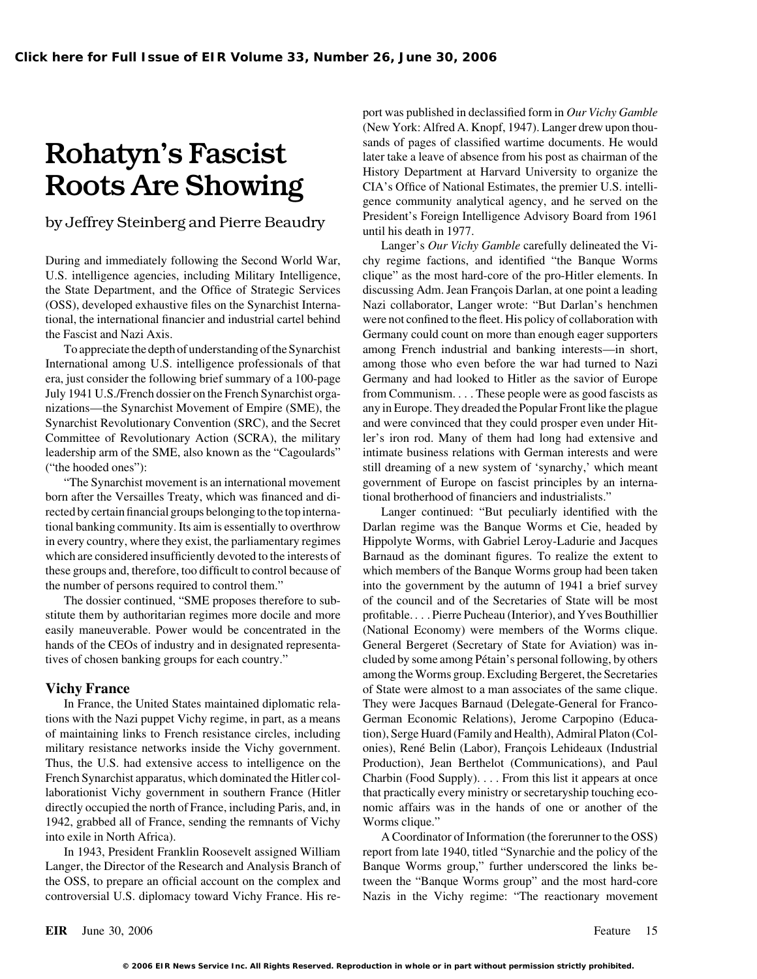the State Department, and the Office of Strategic Services discussing Adm. Jean François Darlan, at one point a leading

International among U.S. intelligence professionals of that among those who even before the war had turned to Nazi era, just consider the following brief summary of a 100-page Germany and had looked to Hitler as the savior of Europe July 1941 U.S./French dossier on the French Synarchist orga- from Communism. . . . These people were as good fascists as nizations—the Synarchist Movement of Empire (SME), the any in Europe. They dreaded the Popular Front like the plague Synarchist Revolutionary Convention (SRC), and the Secret and were convinced that they could prosper even under Hit-Committee of Revolutionary Action (SCRA), the military ler's iron rod. Many of them had long had extensive and leadership arm of the SME, also known as the "Cagoulards" intimate business relations with German interests and were ("the hooded ones"): still dreaming of a new system of 'synarchy,' which meant

born after the Versailles Treaty, which was financed and di-<br>tional brotherhood of financiers and industrialists." rected by certain financial groups belonging to the top interna- Langer continued: "But peculiarly identified with the tional banking community. Its aim is essentially to overthrow Darlan regime was the Banque Worms et Cie, headed by in every country, where they exist, the parliamentary regimes Hippolyte Worms, with Gabriel Leroy-Ladurie and Jacques which are considered insufficiently devoted to the interests of Barnaud as the dominant figures. To realize the extent to these groups and, therefore, too difficult to control because of which members of the Banque Worms group had been taken the number of persons required to control them." into the government by the autumn of 1941 a brief survey

hands of the CEOs of industry and in designated representa-<br>General Bergeret (Secretary of State for Aviation) was in-

tions with the Nazi puppet Vichy regime, in part, as a means German Economic Relations), Jerome Carpopino (Educaof maintaining links to French resistance circles, including tion), Serge Huard (Family and Health), Admiral Platon (Colmilitary resistance networks inside the Vichy government. onies), René Belin (Labor), François Lehideaux (Industrial Thus, the U.S. had extensive access to intelligence on the Production), Jean Berthelot (Communications), and Paul French Synarchist apparatus, which dominated the Hitler col-<br>
Charbin (Food Supply).... From this list it appears at once laborationist Vichy government in southern France (Hitler that practically every ministry or secretaryship touching ecodirectly occupied the north of France, including Paris, and, in nomic affairs was in the hands of one or another of the 1942, grabbed all of France, sending the remnants of Vichy Worms clique." into exile in North Africa). A Coordinator of Information (the forerunner to the OSS)

Langer, the Director of the Research and Analysis Branch of Banque Worms group," further underscored the links bethe OSS, to prepare an official account on the complex and tween the "Banque Worms group" and the most hard-core controversial U.S. diplomacy toward Vichy France. His re- Nazis in the Vichy regime: "The reactionary movement

port was published in declassified form in *Our Vichy Gamble* (New York: Alfred A. Knopf, 1947). Langer drew upon thou-**Rohatyn's Fascist Exercise Stands of pages of classified wartime documents. He would later take a leave of absence from his post as chairman of the History Department at Harvard University to organize the** Roots Are Showing CIA's Office of National Estimates, the premier U.S. intelligence community analytical agency, and he served on the President's Foreign Intelligence Advisory Board from 1961 by Jeffrey Steinberg and Pierre Beaudry until his death in 1977.

Langer's *Our Vichy Gamble* carefully delineated the Vi-During and immediately following the Second World War, chy regime factions, and identified "the Banque Worms U.S. intelligence agencies, including Military Intelligence, clique" as the most hard-core of the pro-Hitler elements. In (OSS), developed exhaustive files on the Synarchist Interna- Nazi collaborator, Langer wrote: "But Darlan's henchmen tional, the international financier and industrial cartel behind were not confined to the fleet. His policy of collaboration with the Fascist and Nazi Axis. Germany could count on more than enough eager supporters To appreciate the depth of understanding of the Synarchist among French industrial and banking interests—in short, "The Synarchist movement is an international movement government of Europe on fascist principles by an interna-

The dossier continued, "SME proposes therefore to sub- of the council and of the Secretaries of State will be most stitute them by authoritarian regimes more docile and more profitable. . . . Pierre Pucheau (Interior), and Yves Bouthillier easily maneuverable. Power would be concentrated in the (National Economy) were members of the Worms clique. tives of chosen banking groups for each country." cluded by some among Pétain's personal following, by others among the Worms group. Excluding Bergeret, the Secretaries **Vichy France of State were almost to a man associates of the same clique.** In France, the United States maintained diplomatic rela- They were Jacques Barnaud (Delegate-General for Franco-

In 1943, President Franklin Roosevelt assigned William report from late 1940, titled "Synarchie and the policy of the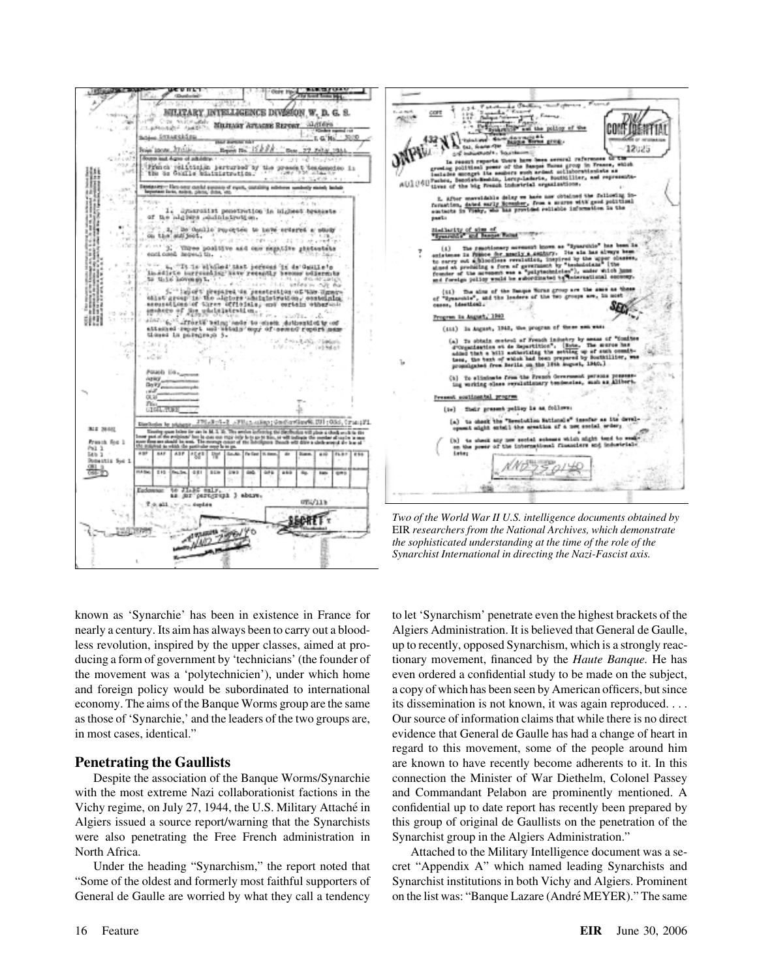



*Two of the World War II U.S. intelligence documents obtained by* EIR *researchers from the National Archives, which demonstrate the sophisticated understanding at the time of the role of the Synarchist International in directing the Nazi-Fascist axis.*

known as 'Synarchie' has been in existence in France for to let 'Synarchism' penetrate even the highest brackets of the nearly a century. Its aim has always been to carry out a blood- Algiers Administration. It is believed that General de Gaulle, less revolution, inspired by the upper classes, aimed at pro- up to recently, opposed Synarchism, which is a strongly reacducing a form of government by 'technicians' (the founder of tionary movement, financed by the *Haute Banque*. He has the movement was a 'polytechnicien'), under which home even ordered a confidential study to be made on the subject, and foreign policy would be subordinated to international a copy of which has been seen by American officers, but since economy. The aims of the Banque Worms group are the same its dissemination is not known, it was again reproduced. . . . as those of 'Synarchie,' and the leaders of the two groups are, Our source of information claims that while there is no direct in most cases, identical." evidence that General de Gaulle has had a change of heart in

with the most extreme Nazi collaborationist factions in the and Commandant Pelabon are prominently mentioned. A Vichy regime, on July 27, 1944, the U.S. Military Attaché in confidential up to date report has recently been prepared by Algiers issued a source report/warning that the Synarchists this group of original de Gaullists on the penetration of the were also penetrating the Free French administration in Synarchist group in the Algiers Administration." North Africa. Attached to the Military Intelligence document was a se-

"Some of the oldest and formerly most faithful supporters of Synarchist institutions in both Vichy and Algiers. Prominent General de Gaulle are worried by what they call a tendency on the list was: "Banque Lazare (André MEYER)." The same

regard to this movement, some of the people around him **Penetrating the Gaullists** are known to have recently become adherents to it. In this Despite the association of the Banque Worms/Synarchie connection the Minister of War Diethelm, Colonel Passey

Under the heading "Synarchism," the report noted that cret "Appendix A" which named leading Synarchists and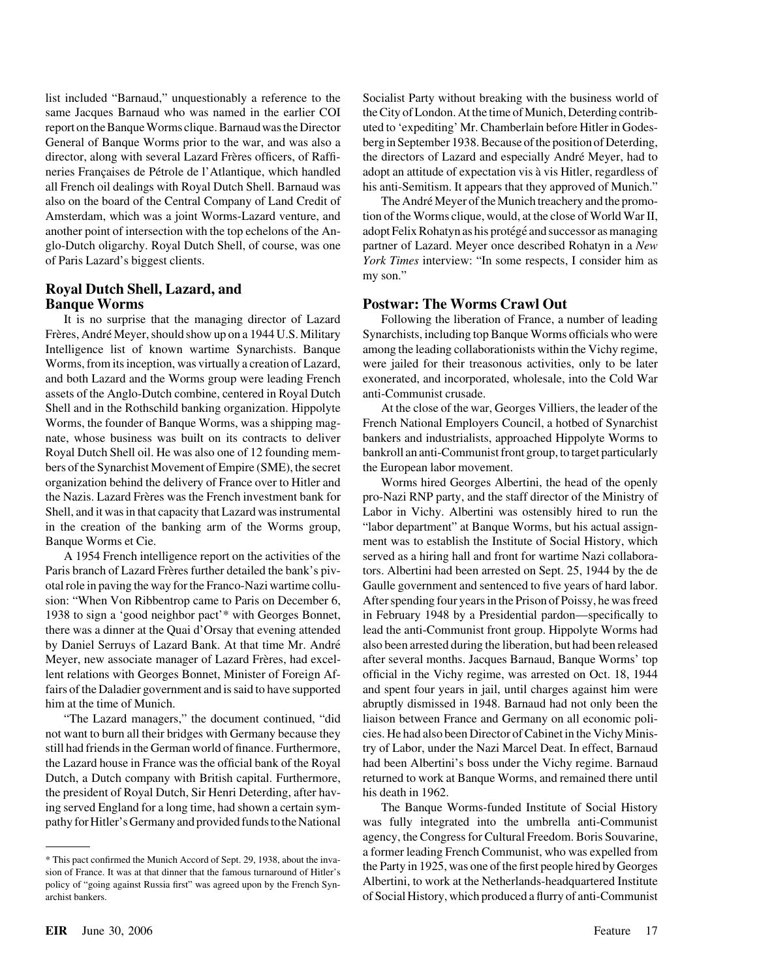list included "Barnaud," unquestionably a reference to the Socialist Party without breaking with the business world of same Jacques Barnaud who was named in the earlier COI the City of London. At the time of Munich, Deterding contribreport on the Banque Worms clique. Barnaud was the Director uted to 'expediting' Mr. Chamberlain before Hitler in Godes-General of Banque Worms prior to the war, and was also a berg in September 1938. Because of the position of Deterding, director, along with several Lazard Frères officers, of Raffi- the directors of Lazard and especially André Meyer, had to neries Françaises de Pétrole de l'Atlantique, which handled adopt an attitude of expectation vis à vis Hitler, regardless of all French oil dealings with Royal Dutch Shell. Barnaud was his anti-Semitism. It appears that they approved of Munich." also on the board of the Central Company of Land Credit of The André Meyer of the Munich treachery and the promo-Amsterdam, which was a joint Worms-Lazard venture, and tion of the Worms clique, would, at the close of World War II, another point of intersection with the top echelons of the An- adopt Felix Rohatyn as his protégé and successor as managing glo-Dutch oligarchy. Royal Dutch Shell, of course, was one partner of Lazard. Meyer once described Rohatyn in a *New* of Paris Lazard's biggest clients. *York Times* interview: "In some respects, I consider him as

## **Royal Dutch Shell, Lazard, and**

Frères, André Meyer, should show up on a 1944 U.S. Military Synarchists, including top Banque Worms officials who were Intelligence list of known wartime Synarchists. Banque among the leading collaborationists within the Vichy regime, Worms, from its inception, was virtually a creation of Lazard, were jailed for their treasonous activities, only to be later and both Lazard and the Worms group were leading French exonerated, and incorporated, wholesale, into the Cold War assets of the Anglo-Dutch combine, centered in Royal Dutch anti-Communist crusade. Shell and in the Rothschild banking organization. Hippolyte At the close of the war, Georges Villiers, the leader of the Worms, the founder of Banque Worms, was a shipping mag- French National Employers Council, a hotbed of Synarchist nate, whose business was built on its contracts to deliver bankers and industrialists, approached Hippolyte Worms to Royal Dutch Shell oil. He was also one of 12 founding mem- bankroll an anti-Communist front group, to target particularly bers of the Synarchist Movement of Empire (SME), the secret the European labor movement. organization behind the delivery of France over to Hitler and Worms hired Georges Albertini, the head of the openly in the creation of the banking arm of the Worms group, "labor department" at Banque Worms, but his actual assign-Banque Worms et Cie. ment was to establish the Institute of Social History, which

the president of Royal Dutch, Sir Henri Deterding, after hav- his death in 1962.

**EIR** June 30, 2006 Feature 17

my son."

## **Banque Worms Postwar: The Worms Crawl Out**

It is no surprise that the managing director of Lazard Following the liberation of France, a number of leading

the Nazis. Lazard Fre`res was the French investment bank for pro-Nazi RNP party, and the staff director of the Ministry of Shell, and it was in that capacity that Lazard was instrumental Labor in Vichy. Albertini was ostensibly hired to run the A 1954 French intelligence report on the activities of the served as a hiring hall and front for wartime Nazi collabora-Paris branch of Lazard Frères further detailed the bank's piv-<br>tors. Albertini had been arrested on Sept. 25, 1944 by the de otal role in paving the way for the Franco-Nazi wartime collu- Gaulle government and sentenced to five years of hard labor. sion: "When Von Ribbentrop came to Paris on December 6, After spending four years in the Prison of Poissy, he was freed 1938 to sign a 'good neighbor pact'\* with Georges Bonnet, in February 1948 by a Presidential pardon—specifically to there was a dinner at the Quai d'Orsay that evening attended lead the anti-Communist front group. Hippolyte Worms had by Daniel Serruys of Lazard Bank. At that time Mr. André also been arrested during the liberation, but had been released Meyer, new associate manager of Lazard Frères, had excel-<br>
after several months. Jacques Barnaud, Banque Worms' top lent relations with Georges Bonnet, Minister of Foreign Af- official in the Vichy regime, was arrested on Oct. 18, 1944 fairs of the Daladier government and is said to have supported and spent four years in jail, until charges against him were him at the time of Munich. **abruptly dismissed in 1948. Barnaud had not only been the** abruptly dismissed in 1948. Barnaud had not only been the "The Lazard managers," the document continued, "did liaison between France and Germany on all economic polinot want to burn all their bridges with Germany because they cies. He had also been Director of Cabinet in the Vichy Minisstill had friends in the German world of finance. Furthermore, try of Labor, under the Nazi Marcel Deat. In effect, Barnaud the Lazard house in France was the official bank of the Royal had been Albertini's boss under the Vichy regime. Barnaud Dutch, a Dutch company with British capital. Furthermore, returned to work at Banque Worms, and remained there until

ing served England for a long time, had shown a certain sym- The Banque Worms-funded Institute of Social History pathy for Hitler's Germany and provided funds to the National was fully integrated into the umbrella anti-Communist agency, the Congress for Cultural Freedom. Boris Souvarine, This pact confirmed the Munich Accord of Sept. 29, 1938, about the inva-<br>sion of France. It was at that dinner that the famous turnaround of Hitler's the Party in 1925, was one of the first people hired by Georges policy of "going against Russia first" was agreed upon by the French Syn-<br>
Albertini, to work at the Netherlands-headquartered Institute<br>
Notice of "going against Russia first" was agreed upon by the French Synarchist bankers. of Social History, which produced a flurry of anti-Communist